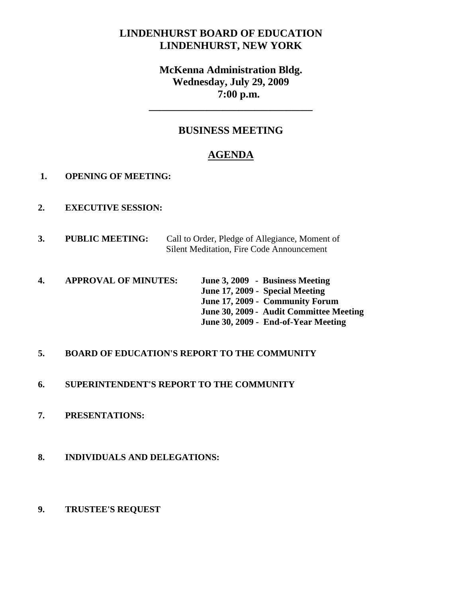# **LINDENHURST BOARD OF EDUCATION LINDENHURST, NEW YORK**

# **McKenna Administration Bldg. Wednesday, July 29, 2009 7:00 p.m.**

**\_\_\_\_\_\_\_\_\_\_\_\_\_\_\_\_\_\_\_\_\_\_\_\_\_\_\_\_\_\_\_**

# **BUSINESS MEETING**

# **AGENDA**

- **1. OPENING OF MEETING:**
- **2. EXECUTIVE SESSION:**
- **3. PUBLIC MEETING:** Call to Order, Pledge of Allegiance, Moment of Silent Meditation, Fire Code Announcement
- **4. APPROVAL OF MINUTES: June 3, 2009 Business Meeting June 17, 2009 - Special Meeting June 17, 2009 - Community Forum June 30, 2009 - Audit Committee Meeting June 30, 2009 - End-of-Year Meeting**

# **5. BOARD OF EDUCATION'S REPORT TO THE COMMUNITY**

- **6. SUPERINTENDENT'S REPORT TO THE COMMUNITY**
- **7. PRESENTATIONS:**
- **8. INDIVIDUALS AND DELEGATIONS:**
- **9. TRUSTEE'S REQUEST**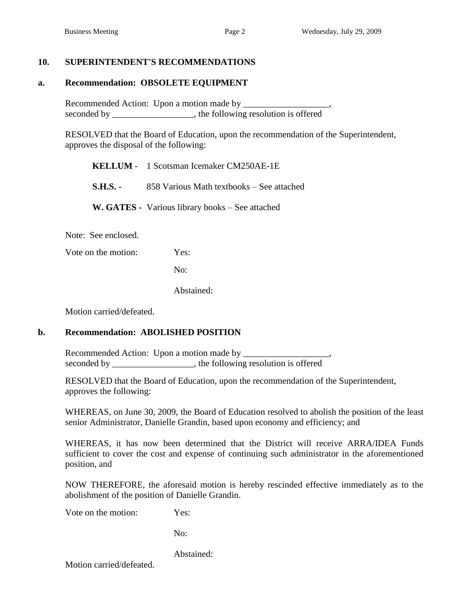## **10. SUPERINTENDENT'S RECOMMENDATIONS**

#### **a. Recommendation: OBSOLETE EQUIPMENT**

Recommended Action: Upon a motion made by \_\_\_\_\_\_\_\_\_\_\_\_\_\_\_\_\_\_\_, seconded by \_\_\_\_\_\_\_\_\_\_\_\_\_\_\_, the following resolution is offered

RESOLVED that the Board of Education, upon the recommendation of the Superintendent, approves the disposal of the following:

| <b>KELLUM</b> - 1 Scotsman Icemaker CM250AE-1E            |
|-----------------------------------------------------------|
| <b>S.H.S.</b> - 858 Various Math textbooks – See attached |
| W. GATES - Various library books – See attached           |

Note: See enclosed.

Vote on the motion: Yes:

No:

Abstained:

Motion carried/defeated.

#### **b. Recommendation: ABOLISHED POSITION**

Recommended Action: Upon a motion made by seconded by \_\_\_\_\_\_\_\_\_\_\_\_\_\_, the following resolution is offered

RESOLVED that the Board of Education, upon the recommendation of the Superintendent, approves the following:

WHEREAS, on June 30, 2009, the Board of Education resolved to abolish the position of the least senior Administrator, Danielle Grandin, based upon economy and efficiency; and

WHEREAS, it has now been determined that the District will receive ARRA/IDEA Funds sufficient to cover the cost and expense of continuing such administrator in the aforementioned position, and

NOW THEREFORE, the aforesaid motion is hereby rescinded effective immediately as to the abolishment of the position of Danielle Grandin.

Vote on the motion: Yes:

No:

Abstained:

Motion carried/defeated.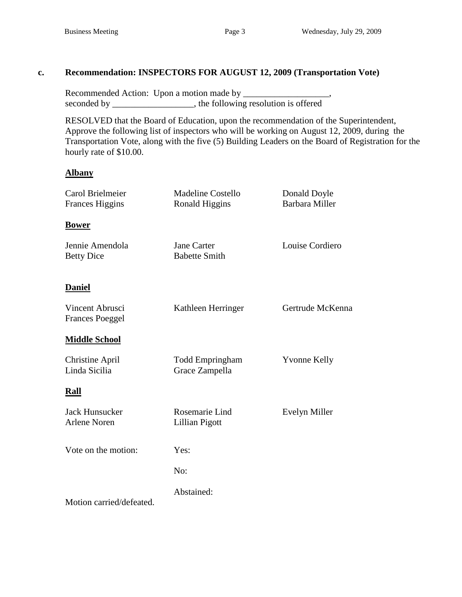# **c. Recommendation: INSPECTORS FOR AUGUST 12, 2009 (Transportation Vote)**

Recommended Action: Upon a motion made by \_\_\_\_\_\_\_\_\_\_\_\_\_\_\_\_\_\_\_, seconded by \_\_\_\_\_\_\_\_\_\_\_\_\_\_, the following resolution is offered

RESOLVED that the Board of Education, upon the recommendation of the Superintendent, Approve the following list of inspectors who will be working on August 12, 2009, during the Transportation Vote, along with the five (5) Building Leaders on the Board of Registration for the hourly rate of \$10.00.

## **Albany**

| Carol Brielmeier                             | <b>Madeline Costello</b>                 | Donald Doyle<br><b>Barbara Miller</b> |
|----------------------------------------------|------------------------------------------|---------------------------------------|
| <b>Frances Higgins</b>                       | Ronald Higgins                           |                                       |
| <b>Bower</b>                                 |                                          |                                       |
| Jennie Amendola<br><b>Betty Dice</b>         | Jane Carter<br><b>Babette Smith</b>      | Louise Cordiero                       |
| <b>Daniel</b>                                |                                          |                                       |
| Vincent Abrusci<br><b>Frances Poeggel</b>    | Kathleen Herringer                       | Gertrude McKenna                      |
| <b>Middle School</b>                         |                                          |                                       |
| <b>Christine April</b><br>Linda Sicilia      | <b>Todd Empringham</b><br>Grace Zampella | <b>Yvonne Kelly</b>                   |
| <b>Rall</b>                                  |                                          |                                       |
| <b>Jack Hunsucker</b><br><b>Arlene Noren</b> | Rosemarie Lind<br>Lillian Pigott         | Evelyn Miller                         |
| Vote on the motion:                          | Yes:                                     |                                       |
|                                              | No:                                      |                                       |
| Motion carried/defeated.                     | Abstained:                               |                                       |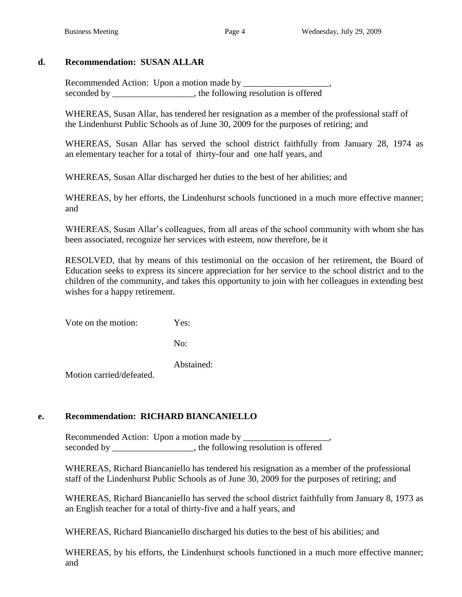# **d. Recommendation: SUSAN ALLAR**

Recommended Action: Upon a motion made by \_\_\_\_\_\_\_\_\_\_\_\_\_\_\_\_\_\_\_, seconded by \_\_\_\_\_\_\_\_\_\_\_\_\_\_\_, the following resolution is offered

WHEREAS, Susan Allar, has tendered her resignation as a member of the professional staff of the Lindenhurst Public Schools as of June 30, 2009 for the purposes of retiring; and

WHEREAS, Susan Allar has served the school district faithfully from January 28, 1974 as an elementary teacher for a total of thirty-four and one half years, and

WHEREAS, Susan Allar discharged her duties to the best of her abilities; and

WHEREAS, by her efforts, the Lindenhurst schools functioned in a much more effective manner; and

WHEREAS, Susan Allar's colleagues, from all areas of the school community with whom she has been associated, recognize her services with esteem, now therefore, be it

RESOLVED, that by means of this testimonial on the occasion of her retirement, the Board of Education seeks to express its sincere appreciation for her service to the school district and to the children of the community, and takes this opportunity to join with her colleagues in extending best wishes for a happy retirement.

Vote on the motion: Yes:

No:

Abstained:

Motion carried/defeated.

# **e. Recommendation: RICHARD BIANCANIELLO**

Recommended Action: Upon a motion made by seconded by \_\_\_\_\_\_\_\_\_\_\_\_\_\_\_, the following resolution is offered

WHEREAS, Richard Biancaniello has tendered his resignation as a member of the professional staff of the Lindenhurst Public Schools as of June 30, 2009 for the purposes of retiring; and

WHEREAS, Richard Biancaniello has served the school district faithfully from January 8, 1973 as an English teacher for a total of thirty-five and a half years, and

WHEREAS, Richard Biancaniello discharged his duties to the best of his abilities; and

WHEREAS, by his efforts, the Lindenhurst schools functioned in a much more effective manner; and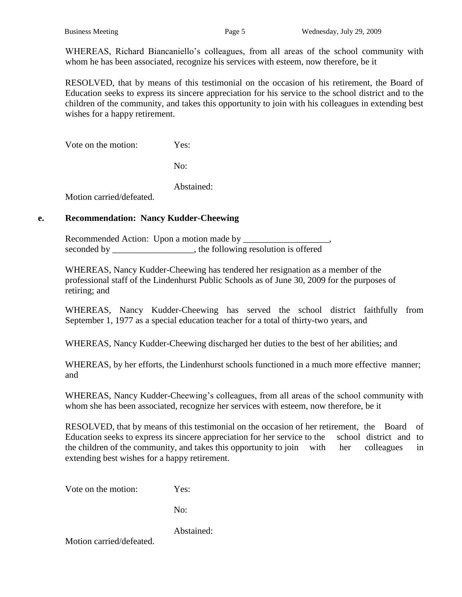WHEREAS, Richard Biancaniello's colleagues, from all areas of the school community with whom he has been associated, recognize his services with esteem, now therefore, be it

RESOLVED, that by means of this testimonial on the occasion of his retirement, the Board of Education seeks to express its sincere appreciation for his service to the school district and to the children of the community, and takes this opportunity to join with his colleagues in extending best wishes for a happy retirement.

Vote on the motion: Yes:

No:

Abstained:

Motion carried/defeated.

## **e. Recommendation: Nancy Kudder-Cheewing**

Recommended Action: Upon a motion made by \_\_\_\_\_\_\_\_\_\_\_\_\_\_\_\_\_\_\_, seconded by the following resolution is offered

WHEREAS, Nancy Kudder-Cheewing has tendered her resignation as a member of the professional staff of the Lindenhurst Public Schools as of June 30, 2009 for the purposes of retiring; and

WHEREAS, Nancy Kudder-Cheewing has served the school district faithfully from September 1, 1977 as a special education teacher for a total of thirty-two years, and

WHEREAS, Nancy Kudder-Cheewing discharged her duties to the best of her abilities; and

WHEREAS, by her efforts, the Lindenhurst schools functioned in a much more effective manner; and

WHEREAS, Nancy Kudder-Cheewing's colleagues, from all areas of the school community with whom she has been associated, recognize her services with esteem, now therefore, be it

RESOLVED, that by means of this testimonial on the occasion of her retirement, the Board of Education seeks to express its sincere appreciation for her service to the school district and to the children of the community, and takes this opportunity to join with her colleagues in extending best wishes for a happy retirement.

Vote on the motion: Yes:

No:

Abstained:

Motion carried/defeated.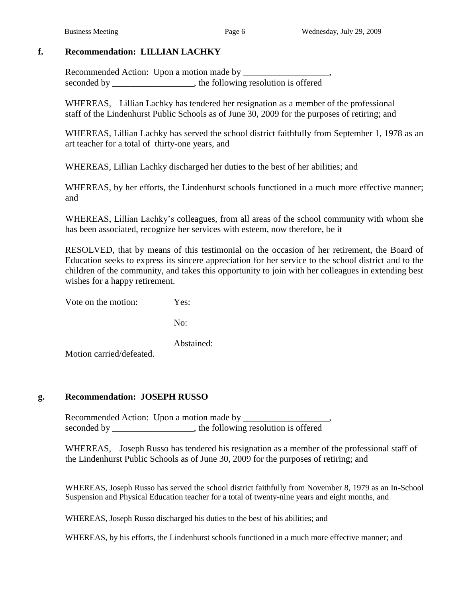## **f. Recommendation: LILLIAN LACHKY**

Recommended Action: Upon a motion made by \_\_\_\_\_\_\_\_\_\_\_\_\_\_\_\_\_\_\_, seconded by the following resolution is offered

WHEREAS, Lillian Lachky has tendered her resignation as a member of the professional staff of the Lindenhurst Public Schools as of June 30, 2009 for the purposes of retiring; and

WHEREAS, Lillian Lachky has served the school district faithfully from September 1, 1978 as an art teacher for a total of thirty-one years, and

WHEREAS, Lillian Lachky discharged her duties to the best of her abilities; and

WHEREAS, by her efforts, the Lindenhurst schools functioned in a much more effective manner; and

WHEREAS, Lillian Lachky's colleagues, from all areas of the school community with whom she has been associated, recognize her services with esteem, now therefore, be it

RESOLVED, that by means of this testimonial on the occasion of her retirement, the Board of Education seeks to express its sincere appreciation for her service to the school district and to the children of the community, and takes this opportunity to join with her colleagues in extending best wishes for a happy retirement.

Vote on the motion: Yes:

No:

Abstained:

Motion carried/defeated.

#### **g. Recommendation: JOSEPH RUSSO**

Recommended Action: Upon a motion made by \_\_\_\_\_\_\_\_\_\_\_\_\_\_\_\_\_\_\_, seconded by the following resolution is offered

WHEREAS, Joseph Russo has tendered his resignation as a member of the professional staff of the Lindenhurst Public Schools as of June 30, 2009 for the purposes of retiring; and

WHEREAS, Joseph Russo has served the school district faithfully from November 8, 1979 as an In-School Suspension and Physical Education teacher for a total of twenty-nine years and eight months, and

WHEREAS, Joseph Russo discharged his duties to the best of his abilities; and

WHEREAS, by his efforts, the Lindenhurst schools functioned in a much more effective manner; and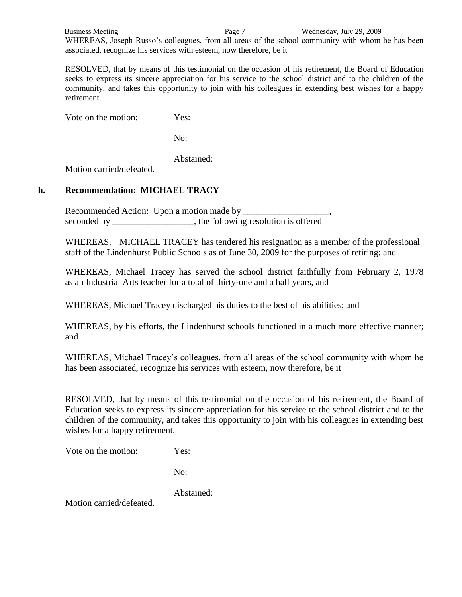Business Meeting Page 7 Wednesday, July 29, 2009 WHEREAS, Joseph Russo's colleagues, from all areas of the school community with whom he has been associated, recognize his services with esteem, now therefore, be it

RESOLVED, that by means of this testimonial on the occasion of his retirement, the Board of Education seeks to express its sincere appreciation for his service to the school district and to the children of the community, and takes this opportunity to join with his colleagues in extending best wishes for a happy retirement.

Vote on the motion: Yes:

No:

Abstained:

Motion carried/defeated.

## **h. Recommendation: MICHAEL TRACY**

Recommended Action: Upon a motion made by seconded by \_\_\_\_\_\_\_\_\_\_\_\_\_\_\_\_, the following resolution is offered

WHEREAS, MICHAEL TRACEY has tendered his resignation as a member of the professional staff of the Lindenhurst Public Schools as of June 30, 2009 for the purposes of retiring; and

WHEREAS, Michael Tracey has served the school district faithfully from February 2, 1978 as an Industrial Arts teacher for a total of thirty-one and a half years, and

WHEREAS, Michael Tracey discharged his duties to the best of his abilities; and

WHEREAS, by his efforts, the Lindenhurst schools functioned in a much more effective manner; and

WHEREAS, Michael Tracey's colleagues, from all areas of the school community with whom he has been associated, recognize his services with esteem, now therefore, be it

RESOLVED, that by means of this testimonial on the occasion of his retirement, the Board of Education seeks to express its sincere appreciation for his service to the school district and to the children of the community, and takes this opportunity to join with his colleagues in extending best wishes for a happy retirement.

Vote on the motion: Yes:

No:

Abstained:

Motion carried/defeated.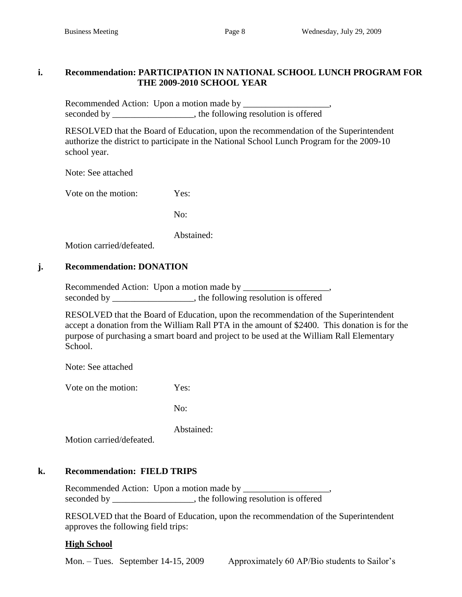## **i. Recommendation: PARTICIPATION IN NATIONAL SCHOOL LUNCH PROGRAM FOR THE 2009-2010 SCHOOL YEAR**

Recommended Action: Upon a motion made by \_\_\_\_\_\_\_\_\_\_\_\_\_\_\_\_\_\_\_, seconded by \_\_\_\_\_\_\_\_\_\_\_\_\_\_\_\_, the following resolution is offered

RESOLVED that the Board of Education, upon the recommendation of the Superintendent authorize the district to participate in the National School Lunch Program for the 2009-10 school year.

Note: See attached

Vote on the motion: Yes:

No:

Abstained:

Motion carried/defeated.

# **j. Recommendation: DONATION**

Recommended Action: Upon a motion made by \_\_\_\_\_\_\_\_\_\_\_\_\_\_\_\_\_\_\_, seconded by \_\_\_\_\_\_\_\_\_\_\_\_\_\_\_\_\_, the following resolution is offered

RESOLVED that the Board of Education, upon the recommendation of the Superintendent accept a donation from the William Rall PTA in the amount of \$2400. This donation is for the purpose of purchasing a smart board and project to be used at the William Rall Elementary School.

Note: See attached

Vote on the motion: Yes:

No:

Abstained:

Motion carried/defeated.

# **k. Recommendation: FIELD TRIPS**

Recommended Action: Upon a motion made by \_\_\_\_\_\_\_\_\_\_\_\_\_\_\_\_\_\_\_, seconded by \_\_\_\_\_\_\_\_\_\_\_\_\_\_\_, the following resolution is offered

RESOLVED that the Board of Education, upon the recommendation of the Superintendent approves the following field trips:

# **High School**

Mon. – Tues. September 14-15, 2009 Approximately 60 AP/Bio students to Sailor's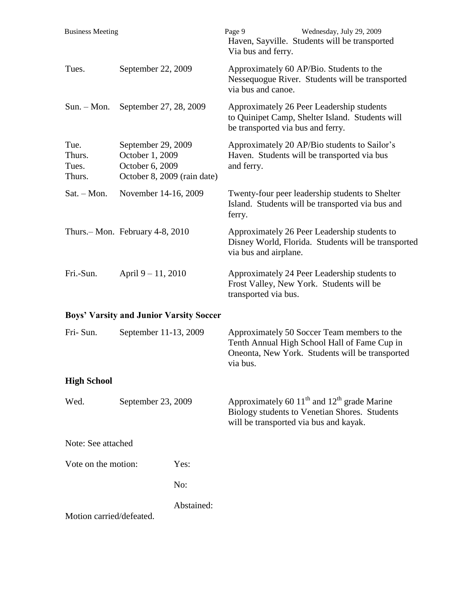| <b>Business Meeting</b>           |                                                                                         |            | Page 9<br>Via bus and ferry.      | Wednesday, July 29, 2009<br>Haven, Sayville. Students will be transported                                                                      |
|-----------------------------------|-----------------------------------------------------------------------------------------|------------|-----------------------------------|------------------------------------------------------------------------------------------------------------------------------------------------|
| Tues.                             | September 22, 2009                                                                      |            | via bus and canoe.                | Approximately 60 AP/Bio. Students to the<br>Nessequogue River. Students will be transported                                                    |
| $Sun. - Mon.$                     | September 27, 28, 2009                                                                  |            | be transported via bus and ferry. | Approximately 26 Peer Leadership students<br>to Quinipet Camp, Shelter Island. Students will                                                   |
| Tue.<br>Thurs.<br>Tues.<br>Thurs. | September 29, 2009<br>October 1, 2009<br>October 6, 2009<br>October 8, 2009 (rain date) |            | and ferry.                        | Approximately 20 AP/Bio students to Sailor's<br>Haven. Students will be transported via bus                                                    |
| $Sat. - Mon.$                     | November 14-16, 2009                                                                    |            | ferry.                            | Twenty-four peer leadership students to Shelter<br>Island. Students will be transported via bus and                                            |
|                                   | Thurs. – Mon. February 4-8, 2010                                                        |            | via bus and airplane.             | Approximately 26 Peer Leadership students to<br>Disney World, Florida. Students will be transported                                            |
| Fri.-Sun.                         | April 9 – 11, 2010                                                                      |            | transported via bus.              | Approximately 24 Peer Leadership students to<br>Frost Valley, New York. Students will be                                                       |
|                                   | <b>Boys' Varsity and Junior Varsity Soccer</b>                                          |            |                                   |                                                                                                                                                |
| Fri-Sun.                          | September 11-13, 2009                                                                   |            | via bus.                          | Approximately 50 Soccer Team members to the<br>Tenth Annual High School Hall of Fame Cup in<br>Oneonta, New York. Students will be transported |
| <b>High School</b>                |                                                                                         |            |                                   |                                                                                                                                                |
| Wed.                              | September 23, 2009                                                                      |            |                                   | Approximately 60 $11th$ and $12th$ grade Marine<br>Biology students to Venetian Shores. Students<br>will be transported via bus and kayak.     |
| Note: See attached                |                                                                                         |            |                                   |                                                                                                                                                |
| Vote on the motion:               |                                                                                         | Yes:       |                                   |                                                                                                                                                |
|                                   |                                                                                         | No:        |                                   |                                                                                                                                                |
| Motion carried/defeated.          |                                                                                         | Abstained: |                                   |                                                                                                                                                |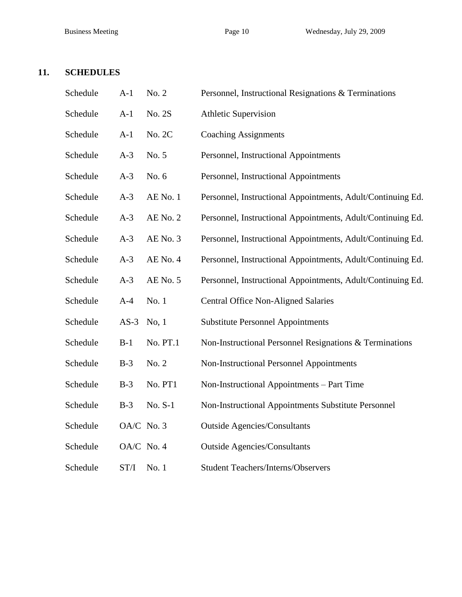# **11. SCHEDULES**

| Schedule | $A-1$      | No. 2    | Personnel, Instructional Resignations & Terminations        |
|----------|------------|----------|-------------------------------------------------------------|
| Schedule | $A-1$      | No. 2S   | <b>Athletic Supervision</b>                                 |
| Schedule | $A-1$      | No. 2C   | <b>Coaching Assignments</b>                                 |
| Schedule | $A-3$      | No. 5    | Personnel, Instructional Appointments                       |
| Schedule | $A-3$      | No. 6    | Personnel, Instructional Appointments                       |
| Schedule | $A-3$      | AE No. 1 | Personnel, Instructional Appointments, Adult/Continuing Ed. |
| Schedule | $A-3$      | AE No. 2 | Personnel, Instructional Appointments, Adult/Continuing Ed. |
| Schedule | $A-3$      | AE No. 3 | Personnel, Instructional Appointments, Adult/Continuing Ed. |
| Schedule | $A-3$      | AE No. 4 | Personnel, Instructional Appointments, Adult/Continuing Ed. |
| Schedule | $A-3$      | AE No. 5 | Personnel, Instructional Appointments, Adult/Continuing Ed. |
| Schedule | $A-4$      | No. 1    | <b>Central Office Non-Aligned Salaries</b>                  |
| Schedule | $AS-3$     | No, 1    | <b>Substitute Personnel Appointments</b>                    |
| Schedule | $B-1$      | No. PT.1 | Non-Instructional Personnel Resignations & Terminations     |
| Schedule | $B-3$      | No. 2    | Non-Instructional Personnel Appointments                    |
| Schedule | $B-3$      | No. PT1  | Non-Instructional Appointments - Part Time                  |
| Schedule | $B-3$      | No. S-1  | Non-Instructional Appointments Substitute Personnel         |
| Schedule | OA/C No. 3 |          | <b>Outside Agencies/Consultants</b>                         |
| Schedule | OA/C No. 4 |          | <b>Outside Agencies/Consultants</b>                         |
| Schedule | ST/I       | No. 1    | <b>Student Teachers/Interns/Observers</b>                   |